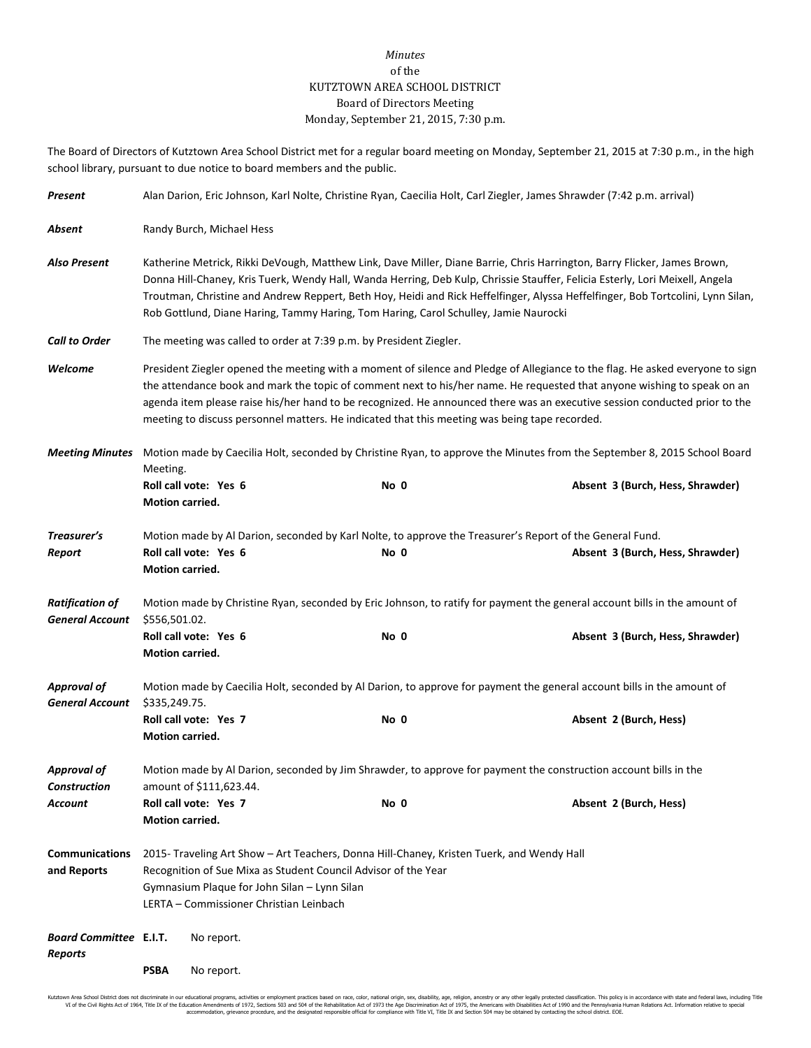## *Minutes* of the KUTZTOWN AREA SCHOOL DISTRICT Board of Directors Meeting Monday, September 21, 2015, 7:30 p.m.

The Board of Directors of Kutztown Area School District met for a regular board meeting on Monday, September 21, 2015 at 7:30 p.m., in the high school library, pursuant to due notice to board members and the public.

| Present                                                                                                                                            | Alan Darion, Eric Johnson, Karl Nolte, Christine Ryan, Caecilia Holt, Carl Ziegler, James Shrawder (7:42 p.m. arrival)                                                                                                                                                                                                                                                                                                                                                                  |                       |  |      |                                                                                                          |                                  |  |  |
|----------------------------------------------------------------------------------------------------------------------------------------------------|-----------------------------------------------------------------------------------------------------------------------------------------------------------------------------------------------------------------------------------------------------------------------------------------------------------------------------------------------------------------------------------------------------------------------------------------------------------------------------------------|-----------------------|--|------|----------------------------------------------------------------------------------------------------------|----------------------------------|--|--|
| Absent                                                                                                                                             | Randy Burch, Michael Hess                                                                                                                                                                                                                                                                                                                                                                                                                                                               |                       |  |      |                                                                                                          |                                  |  |  |
| <b>Also Present</b>                                                                                                                                | Katherine Metrick, Rikki DeVough, Matthew Link, Dave Miller, Diane Barrie, Chris Harrington, Barry Flicker, James Brown,<br>Donna Hill-Chaney, Kris Tuerk, Wendy Hall, Wanda Herring, Deb Kulp, Chrissie Stauffer, Felicia Esterly, Lori Meixell, Angela<br>Troutman, Christine and Andrew Reppert, Beth Hoy, Heidi and Rick Heffelfinger, Alyssa Heffelfinger, Bob Tortcolini, Lynn Silan,<br>Rob Gottlund, Diane Haring, Tammy Haring, Tom Haring, Carol Schulley, Jamie Naurocki     |                       |  |      |                                                                                                          |                                  |  |  |
| <b>Call to Order</b>                                                                                                                               | The meeting was called to order at 7:39 p.m. by President Ziegler.                                                                                                                                                                                                                                                                                                                                                                                                                      |                       |  |      |                                                                                                          |                                  |  |  |
| Welcome                                                                                                                                            | President Ziegler opened the meeting with a moment of silence and Pledge of Allegiance to the flag. He asked everyone to sign<br>the attendance book and mark the topic of comment next to his/her name. He requested that anyone wishing to speak on an<br>agenda item please raise his/her hand to be recognized. He announced there was an executive session conducted prior to the<br>meeting to discuss personnel matters. He indicated that this meeting was being tape recorded. |                       |  |      |                                                                                                          |                                  |  |  |
| Motion made by Caecilia Holt, seconded by Christine Ryan, to approve the Minutes from the September 8, 2015 School Board<br><b>Meeting Minutes</b> |                                                                                                                                                                                                                                                                                                                                                                                                                                                                                         |                       |  |      |                                                                                                          |                                  |  |  |
|                                                                                                                                                    | Meeting.<br>Motion carried.                                                                                                                                                                                                                                                                                                                                                                                                                                                             | Roll call vote: Yes 6 |  | No 0 |                                                                                                          | Absent 3 (Burch, Hess, Shrawder) |  |  |
| Treasurer's<br>Report                                                                                                                              | Motion carried.                                                                                                                                                                                                                                                                                                                                                                                                                                                                         | Roll call vote: Yes 6 |  | No 0 | Motion made by Al Darion, seconded by Karl Nolte, to approve the Treasurer's Report of the General Fund. | Absent 3 (Burch, Hess, Shrawder) |  |  |
| <b>Ratification of</b><br><b>General Account</b>                                                                                                   | Motion made by Christine Ryan, seconded by Eric Johnson, to ratify for payment the general account bills in the amount of<br>\$556,501.02.                                                                                                                                                                                                                                                                                                                                              |                       |  |      |                                                                                                          |                                  |  |  |
|                                                                                                                                                    | Motion carried.                                                                                                                                                                                                                                                                                                                                                                                                                                                                         | Roll call vote: Yes 6 |  | No 0 |                                                                                                          | Absent 3 (Burch, Hess, Shrawder) |  |  |
| <b>Approval of</b><br><b>General Account</b>                                                                                                       | Motion made by Caecilia Holt, seconded by Al Darion, to approve for payment the general account bills in the amount of<br>\$335,249.75.                                                                                                                                                                                                                                                                                                                                                 |                       |  |      |                                                                                                          |                                  |  |  |
|                                                                                                                                                    | Motion carried.                                                                                                                                                                                                                                                                                                                                                                                                                                                                         | Roll call vote: Yes 7 |  | No 0 |                                                                                                          | Absent 2 (Burch, Hess)           |  |  |
| <b>Approval of</b><br><b>Construction</b>                                                                                                          | Motion made by Al Darion, seconded by Jim Shrawder, to approve for payment the construction account bills in the<br>amount of \$111,623.44.                                                                                                                                                                                                                                                                                                                                             |                       |  |      |                                                                                                          |                                  |  |  |
| Account                                                                                                                                            | <b>Motion carried.</b>                                                                                                                                                                                                                                                                                                                                                                                                                                                                  | Roll call vote: Yes 7 |  | No 0 |                                                                                                          | Absent 2 (Burch, Hess)           |  |  |
| <b>Communications</b><br>and Reports                                                                                                               | 2015- Traveling Art Show - Art Teachers, Donna Hill-Chaney, Kristen Tuerk, and Wendy Hall<br>Recognition of Sue Mixa as Student Council Advisor of the Year<br>Gymnasium Plaque for John Silan - Lynn Silan<br>LERTA - Commissioner Christian Leinbach                                                                                                                                                                                                                                  |                       |  |      |                                                                                                          |                                  |  |  |
| <b>Board Committee E.I.T.</b><br><b>Reports</b>                                                                                                    |                                                                                                                                                                                                                                                                                                                                                                                                                                                                                         | No report.            |  |      |                                                                                                          |                                  |  |  |
|                                                                                                                                                    | <b>PSBA</b>                                                                                                                                                                                                                                                                                                                                                                                                                                                                             | No report.            |  |      |                                                                                                          |                                  |  |  |

Kutztown Area School District does not discriminate in our educational programs, activities or employment practices based on race, color, national origin, sex, disability, age, religion, ancestry or any other leally prote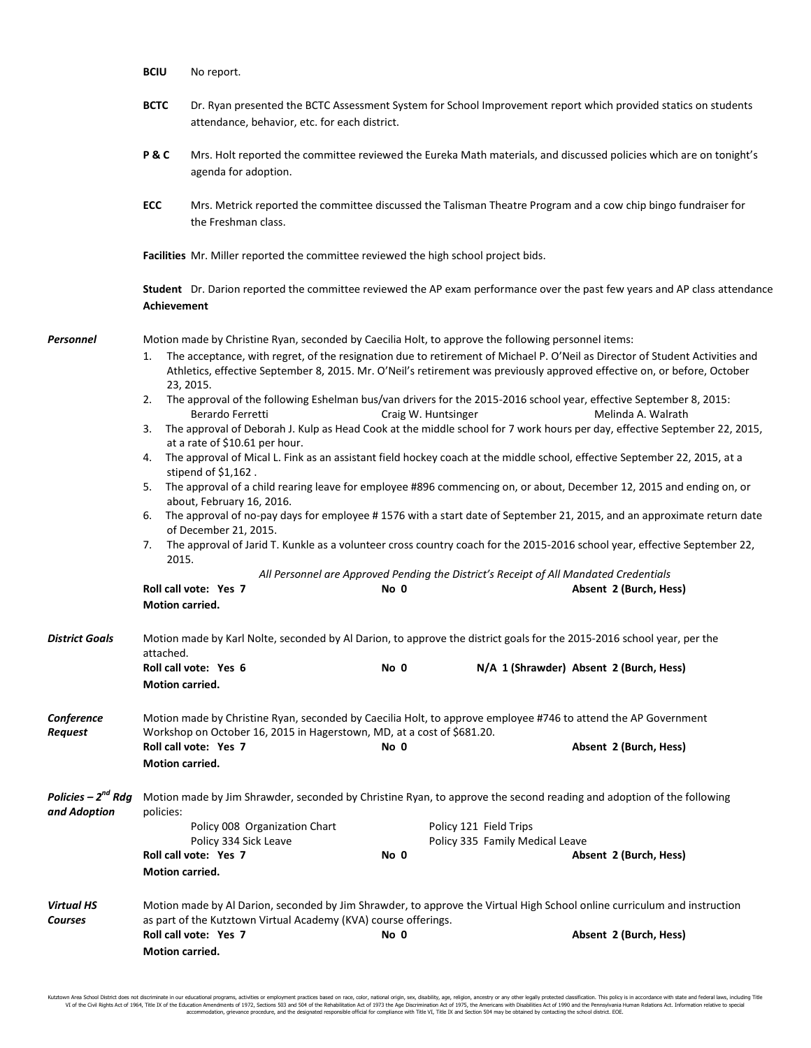|                                                | <b>BCIU</b>                                                                                                                         | No report.                                                                                                                                                                                                                                                                                                                                                                                                                                                                                                                           |      |                                                                                                              |                                                                                                                                                                                                                                                                                                                                                                                                                                                                                                                                                                                                                                                                                                                                                                                                                         |  |  |  |
|------------------------------------------------|-------------------------------------------------------------------------------------------------------------------------------------|--------------------------------------------------------------------------------------------------------------------------------------------------------------------------------------------------------------------------------------------------------------------------------------------------------------------------------------------------------------------------------------------------------------------------------------------------------------------------------------------------------------------------------------|------|--------------------------------------------------------------------------------------------------------------|-------------------------------------------------------------------------------------------------------------------------------------------------------------------------------------------------------------------------------------------------------------------------------------------------------------------------------------------------------------------------------------------------------------------------------------------------------------------------------------------------------------------------------------------------------------------------------------------------------------------------------------------------------------------------------------------------------------------------------------------------------------------------------------------------------------------------|--|--|--|
|                                                | <b>BCTC</b>                                                                                                                         | attendance, behavior, etc. for each district.                                                                                                                                                                                                                                                                                                                                                                                                                                                                                        |      |                                                                                                              | Dr. Ryan presented the BCTC Assessment System for School Improvement report which provided statics on students                                                                                                                                                                                                                                                                                                                                                                                                                                                                                                                                                                                                                                                                                                          |  |  |  |
|                                                | P&C                                                                                                                                 | Mrs. Holt reported the committee reviewed the Eureka Math materials, and discussed policies which are on tonight's<br>agenda for adoption.                                                                                                                                                                                                                                                                                                                                                                                           |      |                                                                                                              |                                                                                                                                                                                                                                                                                                                                                                                                                                                                                                                                                                                                                                                                                                                                                                                                                         |  |  |  |
|                                                | ECC                                                                                                                                 | the Freshman class.                                                                                                                                                                                                                                                                                                                                                                                                                                                                                                                  |      |                                                                                                              | Mrs. Metrick reported the committee discussed the Talisman Theatre Program and a cow chip bingo fundraiser for                                                                                                                                                                                                                                                                                                                                                                                                                                                                                                                                                                                                                                                                                                          |  |  |  |
|                                                |                                                                                                                                     | Facilities Mr. Miller reported the committee reviewed the high school project bids.                                                                                                                                                                                                                                                                                                                                                                                                                                                  |      |                                                                                                              |                                                                                                                                                                                                                                                                                                                                                                                                                                                                                                                                                                                                                                                                                                                                                                                                                         |  |  |  |
|                                                | <b>Achievement</b>                                                                                                                  |                                                                                                                                                                                                                                                                                                                                                                                                                                                                                                                                      |      |                                                                                                              | Student Dr. Darion reported the committee reviewed the AP exam performance over the past few years and AP class attendance                                                                                                                                                                                                                                                                                                                                                                                                                                                                                                                                                                                                                                                                                              |  |  |  |
| Personnel                                      | 1.<br>2.<br>3.<br>6.<br>7.<br>2015.<br>Motion carried.                                                                              | Motion made by Christine Ryan, seconded by Caecilia Holt, to approve the following personnel items:<br>23, 2015.<br>The approval of the following Eshelman bus/van drivers for the 2015-2016 school year, effective September 8, 2015:<br>Berardo Ferretti<br>at a rate of \$10.61 per hour.<br>4. The approval of Mical L. Fink as an assistant field hockey coach at the middle school, effective September 22, 2015, at a<br>stipend of $$1,162$ .<br>about, February 16, 2016.<br>of December 21, 2015.<br>Roll call vote: Yes 7 | No 0 | Craig W. Huntsinger<br>All Personnel are Approved Pending the District's Receipt of All Mandated Credentials | The acceptance, with regret, of the resignation due to retirement of Michael P. O'Neil as Director of Student Activities and<br>Athletics, effective September 8, 2015. Mr. O'Neil's retirement was previously approved effective on, or before, October<br>Melinda A. Walrath<br>The approval of Deborah J. Kulp as Head Cook at the middle school for 7 work hours per day, effective September 22, 2015,<br>5. The approval of a child rearing leave for employee #896 commencing on, or about, December 12, 2015 and ending on, or<br>The approval of no-pay days for employee #1576 with a start date of September 21, 2015, and an approximate return date<br>The approval of Jarid T. Kunkle as a volunteer cross country coach for the 2015-2016 school year, effective September 22,<br>Absent 2 (Burch, Hess) |  |  |  |
| <b>District Goals</b>                          | Motion made by Karl Nolte, seconded by Al Darion, to approve the district goals for the 2015-2016 school year, per the<br>attached. |                                                                                                                                                                                                                                                                                                                                                                                                                                                                                                                                      |      |                                                                                                              |                                                                                                                                                                                                                                                                                                                                                                                                                                                                                                                                                                                                                                                                                                                                                                                                                         |  |  |  |
|                                                | Motion carried.                                                                                                                     | Roll call vote: Yes 6                                                                                                                                                                                                                                                                                                                                                                                                                                                                                                                | No 0 |                                                                                                              | N/A 1 (Shrawder) Absent 2 (Burch, Hess)                                                                                                                                                                                                                                                                                                                                                                                                                                                                                                                                                                                                                                                                                                                                                                                 |  |  |  |
| Conference<br><b>Request</b>                   | Motion carried.                                                                                                                     | Motion made by Christine Ryan, seconded by Caecilia Holt, to approve employee #746 to attend the AP Government<br>Workshop on October 16, 2015 in Hagerstown, MD, at a cost of \$681.20.<br>Roll call vote: Yes 7                                                                                                                                                                                                                                                                                                                    | No 0 |                                                                                                              | Absent 2 (Burch, Hess)                                                                                                                                                                                                                                                                                                                                                                                                                                                                                                                                                                                                                                                                                                                                                                                                  |  |  |  |
| Policies – 2 <sup>nd</sup> Rdg<br>and Adoption | policies:<br><b>Motion carried.</b>                                                                                                 | Motion made by Jim Shrawder, seconded by Christine Ryan, to approve the second reading and adoption of the following<br>Policy 008 Organization Chart<br>Policy 334 Sick Leave<br>Roll call vote: Yes 7                                                                                                                                                                                                                                                                                                                              | No 0 | Policy 121 Field Trips<br>Policy 335 Family Medical Leave                                                    | Absent 2 (Burch, Hess)                                                                                                                                                                                                                                                                                                                                                                                                                                                                                                                                                                                                                                                                                                                                                                                                  |  |  |  |
| <b>Virtual HS</b><br>Courses                   | Motion carried.                                                                                                                     | Motion made by Al Darion, seconded by Jim Shrawder, to approve the Virtual High School online curriculum and instruction<br>as part of the Kutztown Virtual Academy (KVA) course offerings.<br>Roll call vote: Yes 7                                                                                                                                                                                                                                                                                                                 | No 0 |                                                                                                              | Absent 2 (Burch, Hess)                                                                                                                                                                                                                                                                                                                                                                                                                                                                                                                                                                                                                                                                                                                                                                                                  |  |  |  |

Kutztown Area School District does not discriminate in our educational programs, activities or employment practices based on race, color, national origin, sex, disability, age, religion, ancestry or any other leally prote